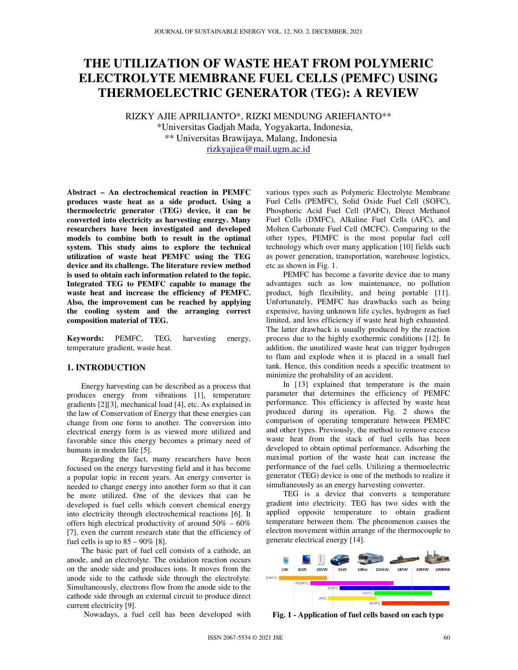# **THE UTILIZATION OF WASTE HEAT FROM POLYMERIC ELECTROLYTE MEMBRANE FUEL CELLS (PEMFC) USING THERMOELECTRIC GENERATOR (TEG): A REVIEW**

RIZKY AJIE APRILIANTO\*, RIZKI MENDUNG ARIEFIANTO\*\* \*Universitas Gadjah Mada, Yogyakarta, Indonesia, \*\* Universitas Brawijaya, Malang, Indonesia rizkyajiea@mail.ugm.ac.id

**Abstract – An electrochemical reaction in PEMFC produces waste heat as a side product. Using a thermoelectric generator (TEG) device, it can be converted into electricity as harvesting energy. Many researchers have been investigated and developed models to combine both to result in the optimal system. This study aims to explore the technical utilization of waste heat PEMFC using the TEG device and its challenge. The literature review method is used to obtain each information related to the topic. Integrated TEG to PEMFC capable to manage the waste heat and increase the efficiency of PEMFC. Also, the improvement can be reached by applying the cooling system and the arranging correct composition material of TEG.** 

**Keywords:** PEMFC, TEG, harvesting energy, temperature gradient, waste heat.

## **1. INTRODUCTION**

Energy harvesting can be described as a process that produces energy from vibrations [1], temperature gradients [2][3], mechanical load [4], etc. As explained in the law of Conservation of Energy that these energies can change from one form to another. The conversion into electrical energy form is as viewed more utilized and favorable since this energy becomes a primary need of humans in modern life [5].

Regarding the fact, many researchers have been focused on the energy harvesting field and it has become a popular topic in recent years. An energy converter is needed to change energy into another form so that it can be more utilized. One of the devices that can be developed is fuel cells which convert chemical energy into electricity through electrochemical reactions [6]. It offers high electrical productivity of around  $50\% - 60\%$ [7], even the current research state that the efficiency of fuel cells is up to  $85 - 90\%$  [8].

The basic part of fuel cell consists of a cathode, an anode, and an electrolyte. The oxidation reaction occurs on the anode side and produces ions. It moves from the anode side to the cathode side through the electrolyte. Simultaneously, electrons flow from the anode side to the cathode side through an external circuit to produce direct current electricity [9].

Nowadays, a fuel cell has been developed with

various types such as Polymeric Electrolyte Membrane Fuel Cells (PEMFC), Solid Oxide Fuel Cell (SOFC), Phosphoric Acid Fuel Cell (PAFC), Direct Methanol Fuel Cells (DMFC), Alkaline Fuel Cells (AFC), and Molten Carbonate Fuel Cell (MCFC). Comparing to the other types, PEMFC is the most popular fuel cell technology which over many application [10] fields such as power generation, transportation, warehouse logistics, etc as shown in Fig. 1.

PEMFC has become a favorite device due to many advantages such as low maintenance, no pollution product, high flexibility, and being portable [11]. Unfortunately, PEMFC has drawbacks such as being expensive, having unknown life cycles, hydrogen as fuel limited, and less efficiency if waste heat high exhausted. The latter drawback is usually produced by the reaction process due to the highly exothermic conditions [12]. In addition, the unutilized waste heat can trigger hydrogen to flam and explode when it is placed in a small fuel tank. Hence, this condition needs a specific treatment to minimize the probability of an accident.

In [13] explained that temperature is the main parameter that determines the efficiency of PEMFC performance. This efficiency is affected by waste heat produced during its operation. Fig. 2 shows the comparison of operating temperature between PEMFC and other types. Previously, the method to remove excess waste heat from the stack of fuel cells has been developed to obtain optimal performance. Adsorbing the maximal portion of the waste heat can increase the performance of the fuel cells. Utilizing a thermoelectric generator (TEG) device is one of the methods to realize it simultaneously as an energy harvesting converter.

TEG is a device that converts a temperature gradient into electricity. TEG has two sides with the applied opposite temperature to obtain gradient temperature between them. The phenomenon causes the electron movement within arrange of the thermocouple to generate electrical energy [14].



**Fig. 1 - Application of fuel cells based on each type**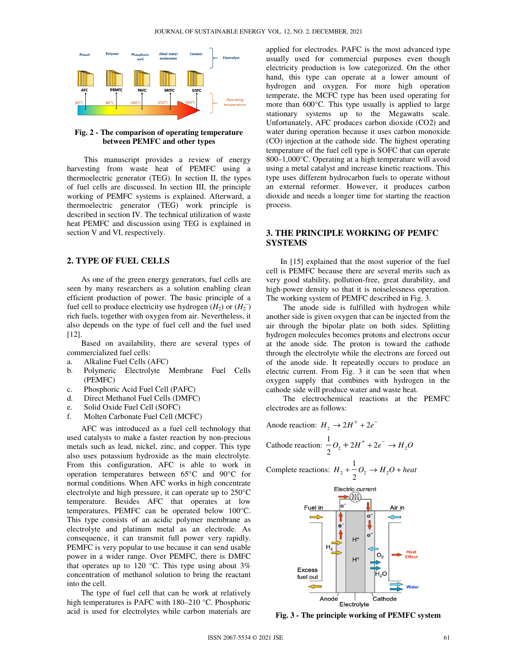

**Fig. 2 - The comparison of operating temperature between PEMFC and other types** 

This manuscript provides a review of energy harvesting from waste heat of PEMFC using a thermoelectric generator (TEG). In section II, the types of fuel cells are discussed. In section III, the principle working of PEMFC systems is explained. Afterward, a thermoelectric generator (TEG) work principle is described in section IV. The technical utilization of waste heat PEMFC and discussion using TEG is explained in section V and VI, respectively.

#### **2. TYPE OF FUEL CELLS**

As one of the green energy generators, fuel cells are seen by many researchers as a solution enabling clean efficient production of power. The basic principle of a fuel cell to produce electricity use hydrogen  $(H_2)$  or  $(H_2^-)$ rich fuels, together with oxygen from air. Nevertheless, it also depends on the type of fuel cell and the fuel used [12].

Based on availability, there are several types of commercialized fuel cells:

- a. Alkaline Fuel Cells (AFC)
- b. Polymeric Electrolyte Membrane Fuel Cells (PEMFC)
- c. Phosphoric Acid Fuel Cell (PAFC)
- d. Direct Methanol Fuel Cells (DMFC)
- e. Solid Oxide Fuel Cell (SOFC)
- f. Molten Carbonate Fuel Cell (MCFC)

AFC was introduced as a fuel cell technology that used catalysts to make a faster reaction by non-precious metals such as lead, nickel, zinc, and copper. This type also uses potassium hydroxide as the main electrolyte. From this configuration, AFC is able to work in operation temperatures between 65°C and 90°C for normal conditions. When AFC works in high concentrate electrolyte and high pressure, it can operate up to 250°C temperature. Besides AFC that operates at low temperatures, PEMFC can be operated below 100°C. This type consists of an acidic polymer membrane as electrolyte and platinum metal as an electrode. As consequence, it can transmit full power very rapidly. PEMFC is very popular to use because it can send usable power in a wider range. Over PEMFC, there is DMFC that operates up to 120 °C. This type using about  $3\%$ concentration of methanol solution to bring the reactant into the cell.

The type of fuel cell that can be work at relatively high temperatures is PAFC with 180–210 °C. Phosphoric acid is used for electrolytes while carbon materials are applied for electrodes. PAFC is the most advanced type usually used for commercial purposes even though electricity production is low categorized. On the other hand, this type can operate at a lower amount of hydrogen and oxygen. For more high operation temperate, the MCFC type has been used operating for more than 600°C. This type usually is applied to large stationary systems up to the Megawatts scale. Unfortunately, AFC produces carbon dioxide (CO2) and water during operation because it uses carbon monoxide (CO) injection at the cathode side. The highest operating temperature of the fuel cell type is SOFC that can operate 800–1,000°C. Operating at a high temperature will avoid using a metal catalyst and increase kinetic reactions. This type uses different hydrocarbon fuels to operate without an external reformer. However, it produces carbon dioxide and needs a longer time for starting the reaction process.

# **3. THE PRINCIPLE WORKING OF PEMFC SYSTEMS**

In [15] explained that the most superior of the fuel cell is PEMFC because there are several merits such as very good stability, pollution-free, great durability, and high-power density so that it is noiselessness operation. The working system of PEMFC described in Fig. 3.

The anode side is fulfilled with hydrogen while another side is given oxygen that can be injected from the air through the bipolar plate on both sides. Splitting hydrogen molecules becomes protons and electrons occur at the anode side. The proton is toward the cathode through the electrolyte while the electrons are forced out of the anode side. It repeatedly occurs to produce an electric current. From Fig. 3 it can be seen that when oxygen supply that combines with hydrogen in the cathode side will produce water and waste heat.

The electrochemical reactions at the PEMFC electrodes are as follows:

Anode reaction: 
$$
H_2 \rightarrow 2H^+ + 2e^-
$$
  
Cathode reaction:  $\frac{1}{2}O_2 + 2H^+ + 2e^- \rightarrow H_2O$ 

Complete reactions:  $H_2 + \frac{1}{2}O_2 \rightarrow H_2$ 2  $H_1 + \overline{O_2} \rightarrow H_2O + heat$ 



**Fig. 3 - The principle working of PEMFC system**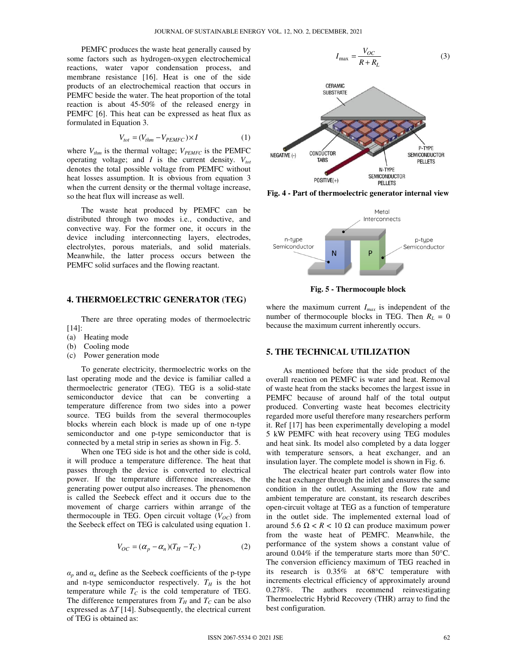PEMFC produces the waste heat generally caused by some factors such as hydrogen-oxygen electrochemical reactions, water vapor condensation process, and membrane resistance [16]. Heat is one of the side products of an electrochemical reaction that occurs in PEMFC beside the water. The heat proportion of the total reaction is about 45-50% of the released energy in PEMFC [6]. This heat can be expressed as heat flux as formulated in Equation 3.

$$
V_{tot} = (V_{thm} - V_{PEMFC}) \times I \tag{1}
$$

where  $V_{thm}$  is the thermal voltage;  $V_{PEMFC}$  is the PEMFC operating voltage; and *I* is the current density.  $V_{tot}$ denotes the total possible voltage from PEMFC without heat losses assumption. It is obvious from equation 3 when the current density or the thermal voltage increase, so the heat flux will increase as well.

The waste heat produced by PEMFC can be distributed through two modes i.e., conductive, and convective way. For the former one, it occurs in the device including interconnecting layers, electrodes, electrolytes, porous materials, and solid materials. Meanwhile, the latter process occurs between the PEMFC solid surfaces and the flowing reactant.

## **4. THERMOELECTRIC GENERATOR (TEG)**

There are three operating modes of thermoelectric [14]:

- (a) Heating mode
- (b) Cooling mode
- (c) Power generation mode

To generate electricity, thermoelectric works on the last operating mode and the device is familiar called a thermoelectric generator (TEG). TEG is a solid-state semiconductor device that can be converting a temperature difference from two sides into a power source. TEG builds from the several thermocouples blocks wherein each block is made up of one n-type semiconductor and one p-type semiconductor that is connected by a metal strip in series as shown in Fig. 5.

When one TEG side is hot and the other side is cold, it will produce a temperature difference. The heat that passes through the device is converted to electrical power. If the temperature difference increases, the generating power output also increases. The phenomenon is called the Seebeck effect and it occurs due to the movement of charge carriers within arrange of the thermocouple in TEG. Open circuit voltage  $(V_{OC})$  from the Seebeck effect on TEG is calculated using equation 1.

$$
V_{OC} = (\alpha_p - \alpha_n)(T_H - T_C)
$$
 (2)

 $\alpha_p$  and  $\alpha_n$  define as the Seebeck coefficients of the p-type and n-type semiconductor respectively.  $T_H$  is the hot temperature while  $T_c$  is the cold temperature of TEG. The difference temperatures from  $T_H$  and  $T_C$  can be also expressed as  $\Delta T$  [14]. Subsequently, the electrical current of TEG is obtained as:



**Fig. 4 - Part of thermoelectric generator internal view** 



**Fig. 5 - Thermocouple block** 

where the maximum current *Imax* is independent of the number of thermocouple blocks in TEG. Then  $R_L = 0$ because the maximum current inherently occurs.

## **5. THE TECHNICAL UTILIZATION**

As mentioned before that the side product of the overall reaction on PEMFC is water and heat. Removal of waste heat from the stacks becomes the largest issue in PEMFC because of around half of the total output produced. Converting waste heat becomes electricity regarded more useful therefore many researchers perform it. Ref [17] has been experimentally developing a model 5 kW PEMFC with heat recovery using TEG modules and heat sink. Its model also completed by a data logger with temperature sensors, a heat exchanger, and an insulation layer. The complete model is shown in Fig. 6.

The electrical heater part controls water flow into the heat exchanger through the inlet and ensures the same condition in the outlet. Assuming the flow rate and ambient temperature are constant, its research describes open-circuit voltage at TEG as a function of temperature in the outlet side. The implemented external load of around 5.6 Ω < *R* < 10 Ω can produce maximum power from the waste heat of PEMFC. Meanwhile, the performance of the system shows a constant value of around 0.04% if the temperature starts more than 50°C. The conversion efficiency maximum of TEG reached in its research is 0.35% at 68°C temperature with increments electrical efficiency of approximately around 0.278%. The authors recommend reinvestigating Thermoelectric Hybrid Recovery (THR) array to find the best configuration.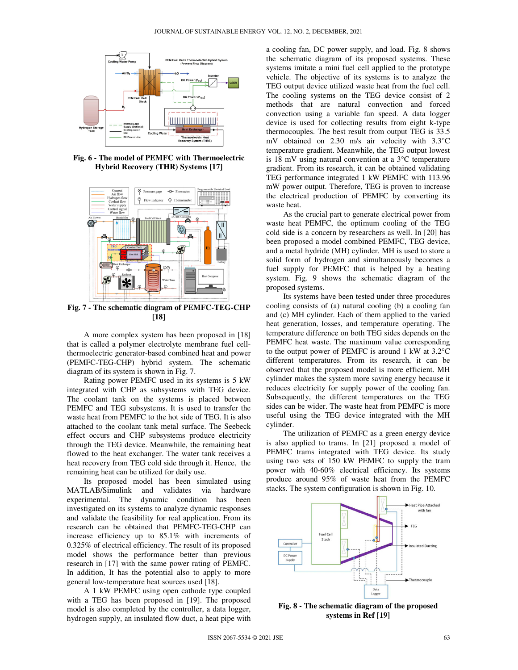

**Fig. 6 - The model of PEMFC with Thermoelectric Hybrid Recovery (THR) Systems [17]** 



**Fig. 7 - The schematic diagram of PEMFC-TEG-CHP [18]**

A more complex system has been proposed in [18] that is called a polymer electrolyte membrane fuel cellthermoelectric generator-based combined heat and power (PEMFC-TEG-CHP) hybrid system. The schematic diagram of its system is shown in Fig. 7.

Rating power PEMFC used in its systems is 5 kW integrated with CHP as subsystems with TEG device. The coolant tank on the systems is placed between PEMFC and TEG subsystems. It is used to transfer the waste heat from PEMFC to the hot side of TEG. It is also attached to the coolant tank metal surface. The Seebeck effect occurs and CHP subsystems produce electricity through the TEG device. Meanwhile, the remaining heat flowed to the heat exchanger. The water tank receives a heat recovery from TEG cold side through it. Hence, the remaining heat can be utilized for daily use.

Its proposed model has been simulated using MATLAB/Simulink and validates via hardware experimental. The dynamic condition has been investigated on its systems to analyze dynamic responses and validate the feasibility for real application. From its research can be obtained that PEMFC-TEG-CHP can increase efficiency up to 85.1% with increments of 0.325% of electrical efficiency. The result of its proposed model shows the performance better than previous research in [17] with the same power rating of PEMFC. In addition, It has the potential also to apply to more general low-temperature heat sources used [18].

A 1 kW PEMFC using open cathode type coupled with a TEG has been proposed in [19]. The proposed model is also completed by the controller, a data logger, hydrogen supply, an insulated flow duct, a heat pipe with a cooling fan, DC power supply, and load. Fig. 8 shows the schematic diagram of its proposed systems. These systems imitate a mini fuel cell applied to the prototype vehicle. The objective of its systems is to analyze the TEG output device utilized waste heat from the fuel cell. The cooling systems on the TEG device consist of 2 methods that are natural convection and forced convection using a variable fan speed. A data logger device is used for collecting results from eight k-type thermocouples. The best result from output TEG is 33.5 mV obtained on 2.30 m/s air velocity with 3.3°C temperature gradient. Meanwhile, the TEG output lowest is 18 mV using natural convention at a 3°C temperature gradient. From its research, it can be obtained validating TEG performance integrated 1 kW PEMFC with 113.96 mW power output. Therefore, TEG is proven to increase the electrical production of PEMFC by converting its waste heat.

As the crucial part to generate electrical power from waste heat PEMFC, the optimum cooling of the TEG cold side is a concern by researchers as well. In [20] has been proposed a model combined PEMFC, TEG device, and a metal hydride (MH) cylinder. MH is used to store a solid form of hydrogen and simultaneously becomes a fuel supply for PEMFC that is helped by a heating system. Fig. 9 shows the schematic diagram of the proposed systems.

Its systems have been tested under three procedures cooling consists of (a) natural cooling (b) a cooling fan and (c) MH cylinder. Each of them applied to the varied heat generation, losses, and temperature operating. The temperature difference on both TEG sides depends on the PEMFC heat waste. The maximum value corresponding to the output power of PEMFC is around 1 kW at 3.2°C different temperatures. From its research, it can be observed that the proposed model is more efficient. MH cylinder makes the system more saving energy because it reduces electricity for supply power of the cooling fan. Subsequently, the different temperatures on the TEG sides can be wider. The waste heat from PEMFC is more useful using the TEG device integrated with the MH cylinder.

The utilization of PEMFC as a green energy device is also applied to trams. In [21] proposed a model of PEMFC trams integrated with TEG device. Its study using two sets of 150 kW PEMFC to supply the tram power with 40-60% electrical efficiency. Its systems produce around 95% of waste heat from the PEMFC stacks. The system configuration is shown in Fig. 10.



**Fig. 8 - The schematic diagram of the proposed systems in Ref [19]**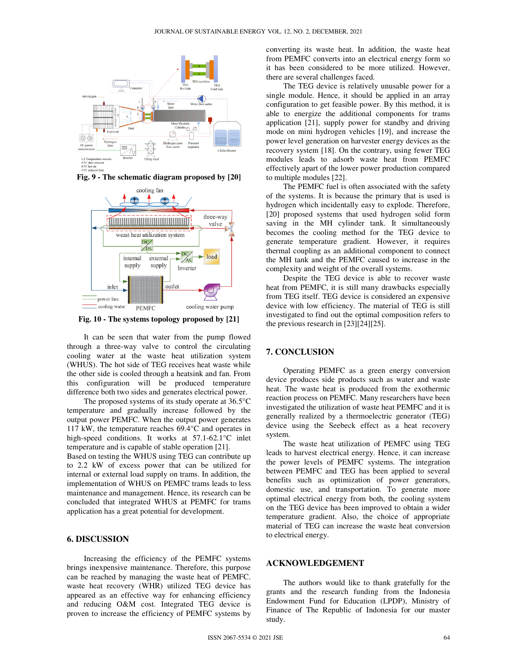

**Fig. 9 - The schematic diagram proposed by [20]** 



**Fig. 10 - The systems topology proposed by [21]** 

It can be seen that water from the pump flowed through a three-way valve to control the circulating cooling water at the waste heat utilization system (WHUS). The hot side of TEG receives heat waste while the other side is cooled through a heatsink and fan. From this configuration will be produced temperature difference both two sides and generates electrical power.

The proposed systems of its study operate at 36.5°C temperature and gradually increase followed by the output power PEMFC. When the output power generates 117 kW, the temperature reaches 69.4°C and operates in high-speed conditions. It works at 57.1-62.1°C inlet temperature and is capable of stable operation [21].

Based on testing the WHUS using TEG can contribute up to 2.2 kW of excess power that can be utilized for internal or external load supply on trams. In addition, the implementation of WHUS on PEMFC trams leads to less maintenance and management. Hence, its research can be concluded that integrated WHUS at PEMFC for trams application has a great potential for development.

### **6. DISCUSSION**

Increasing the efficiency of the PEMFC systems brings inexpensive maintenance. Therefore, this purpose can be reached by managing the waste heat of PEMFC. waste heat recovery (WHR) utilized TEG device has appeared as an effective way for enhancing efficiency and reducing O&M cost. Integrated TEG device is proven to increase the efficiency of PEMFC systems by converting its waste heat. In addition, the waste heat from PEMFC converts into an electrical energy form so it has been considered to be more utilized. However, there are several challenges faced.

The TEG device is relatively unusable power for a single module. Hence, it should be applied in an array configuration to get feasible power. By this method, it is able to energize the additional components for trams application [21], supply power for standby and driving mode on mini hydrogen vehicles [19], and increase the power level generation on harvester energy devices as the recovery system [18]. On the contrary, using fewer TEG modules leads to adsorb waste heat from PEMFC effectively apart of the lower power production compared to multiple modules [22].

The PEMFC fuel is often associated with the safety of the systems. It is because the primary that is used is hydrogen which incidentally easy to explode. Therefore, [20] proposed systems that used hydrogen solid form saving in the MH cylinder tank. It simultaneously becomes the cooling method for the TEG device to generate temperature gradient. However, it requires thermal coupling as an additional component to connect the MH tank and the PEMFC caused to increase in the complexity and weight of the overall systems.

Despite the TEG device is able to recover waste heat from PEMFC, it is still many drawbacks especially from TEG itself. TEG device is considered an expensive device with low efficiency. The material of TEG is still investigated to find out the optimal composition refers to the previous research in [23][24][25].

#### **7. CONCLUSION**

Operating PEMFC as a green energy conversion device produces side products such as water and waste heat. The waste heat is produced from the exothermic reaction process on PEMFC. Many researchers have been investigated the utilization of waste heat PEMFC and it is generally realized by a thermoelectric generator (TEG) device using the Seebeck effect as a heat recovery system.

The waste heat utilization of PEMFC using TEG leads to harvest electrical energy. Hence, it can increase the power levels of PEMFC systems. The integration between PEMFC and TEG has been applied to several benefits such as optimization of power generators, domestic use, and transportation. To generate more optimal electrical energy from both, the cooling system on the TEG device has been improved to obtain a wider temperature gradient. Also, the choice of appropriate material of TEG can increase the waste heat conversion to electrical energy.

## **ACKNOWLEDGEMENT**

The authors would like to thank gratefully for the grants and the research funding from the Indonesia Endowment Fund for Education (LPDP), Ministry of Finance of The Republic of Indonesia for our master study.